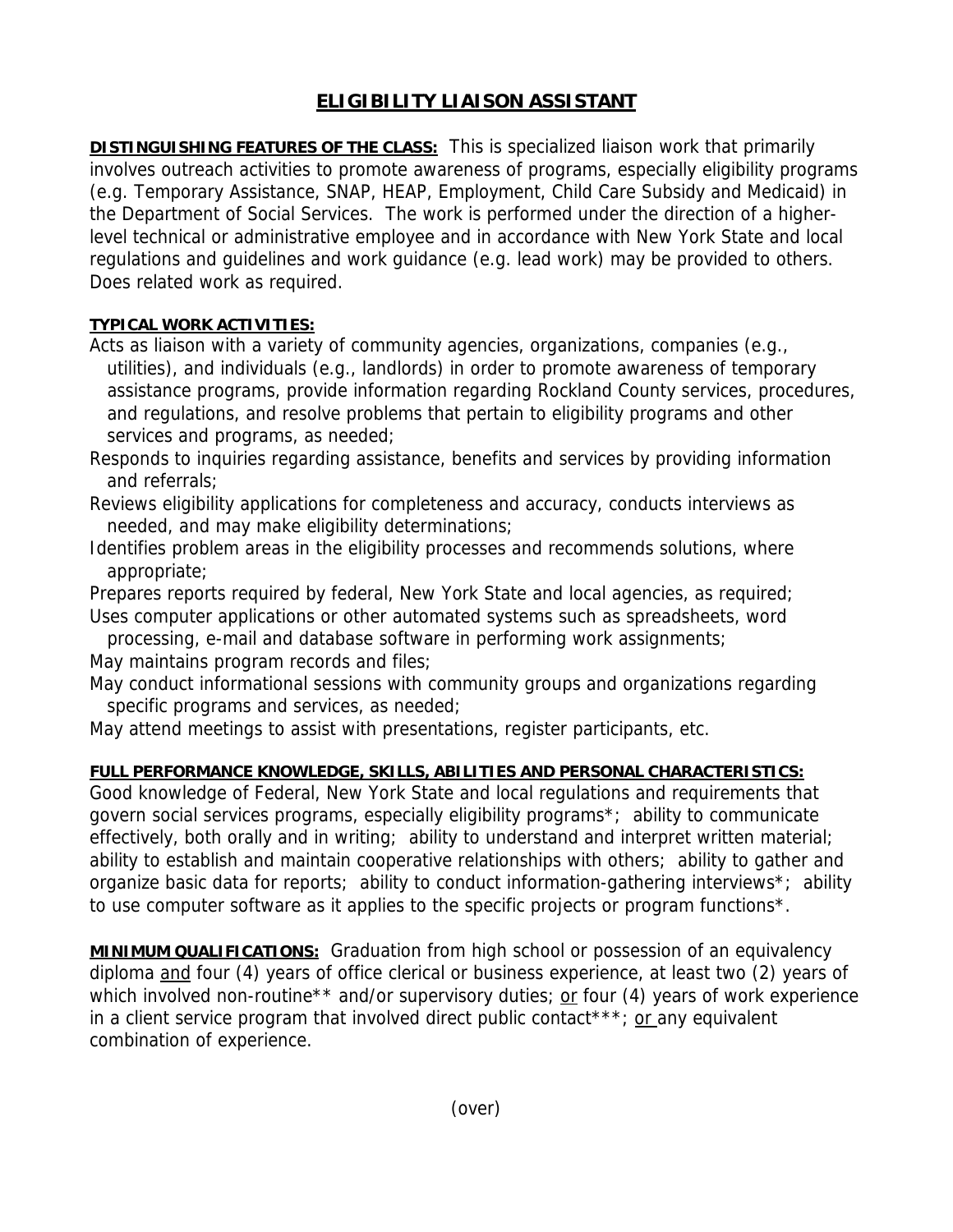## **ELIGIBILITY LIAISON ASSISTANT**

**DISTINGUISHING FEATURES OF THE CLASS:** This is specialized liaison work that primarily involves outreach activities to promote awareness of programs, especially eligibility programs (e.g. Temporary Assistance, SNAP, HEAP, Employment, Child Care Subsidy and Medicaid) in the Department of Social Services. The work is performed under the direction of a higherlevel technical or administrative employee and in accordance with New York State and local regulations and guidelines and work guidance (e.g. lead work) may be provided to others. Does related work as required.

## **TYPICAL WORK ACTIVITIES:**

Acts as liaison with a variety of community agencies, organizations, companies (e.g., utilities), and individuals (e.g., landlords) in order to promote awareness of temporary assistance programs, provide information regarding Rockland County services, procedures, and regulations, and resolve problems that pertain to eligibility programs and other services and programs, as needed;

Responds to inquiries regarding assistance, benefits and services by providing information and referrals;

Reviews eligibility applications for completeness and accuracy, conducts interviews as needed, and may make eligibility determinations;

Identifies problem areas in the eligibility processes and recommends solutions, where appropriate;

Prepares reports required by federal, New York State and local agencies, as required; Uses computer applications or other automated systems such as spreadsheets, word

 processing, e-mail and database software in performing work assignments; May maintains program records and files;

May conduct informational sessions with community groups and organizations regarding specific programs and services, as needed;

May attend meetings to assist with presentations, register participants, etc.

## **FULL PERFORMANCE KNOWLEDGE, SKILLS, ABILITIES AND PERSONAL CHARACTERISTICS:**

Good knowledge of Federal, New York State and local regulations and requirements that govern social services programs, especially eligibility programs\*; ability to communicate effectively, both orally and in writing; ability to understand and interpret written material; ability to establish and maintain cooperative relationships with others; ability to gather and organize basic data for reports; ability to conduct information-gathering interviews\*; ability to use computer software as it applies to the specific projects or program functions\*.

**MINIMUM QUALIFICATIONS:** Graduation from high school or possession of an equivalency diploma and four (4) years of office clerical or business experience, at least two (2) years of which involved non-routine<sup>\*\*</sup> and/or supervisory duties; or four (4) years of work experience in a client service program that involved direct public contact\*\*\*; or any equivalent combination of experience.